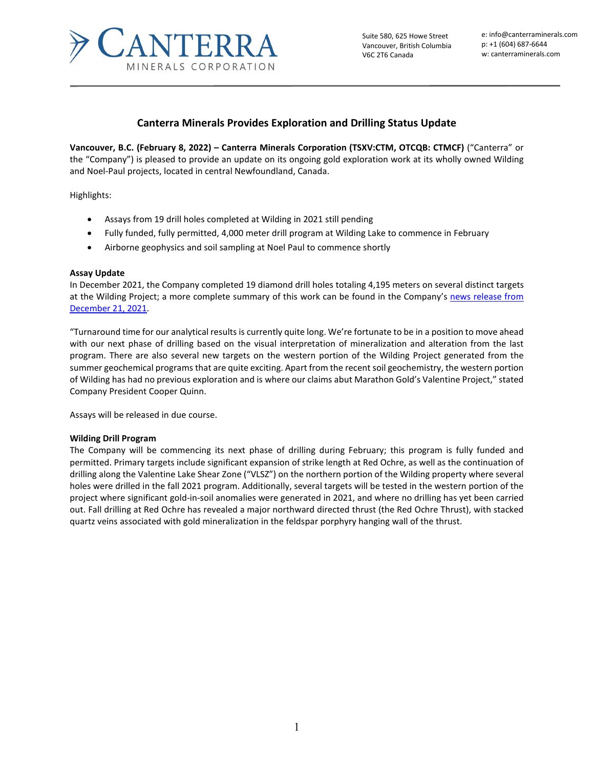

Suite 580, 625 Howe Street Vancouver, British Columbia V6C 2T6 Canada

e: info@canterraminerals.com p: +1 (604) 687-6644 w: canterraminerals.com

# **Canterra Minerals Provides Exploration and Drilling Status Update**

**Vancouver, B.C. (February 8, 2022) – Canterra Minerals Corporation (TSXV:CTM, OTCQB: CTMCF)** ("Canterra" or the "Company") is pleased to provide an update on its ongoing gold exploration work at its wholly owned Wilding and Noel-Paul projects, located in central Newfoundland, Canada.

Highlights:

- Assays from 19 drill holes completed at Wilding in 2021 still pending
- Fully funded, fully permitted, 4,000 meter drill program at Wilding Lake to commence in February
- Airborne geophysics and soil sampling at Noel Paul to commence shortly

#### **Assay Update**

In December 2021, the Company completed 19 diamond drill holes totaling 4,195 meters on several distinct targets at the Wilding Project; a more complete summary of this work can be found in the Company's news release from [December 21, 2021.](mailto:https://canterraminerals.com/news-releases/canterra-minerals-provides-drilling-update-and-defines-new-gold-targets-on-its-noel-paul-project-newfoundland/) 

"Turnaround time for our analytical results is currently quite long. We're fortunate to be in a position to move ahead with our next phase of drilling based on the visual interpretation of mineralization and alteration from the last program. There are also several new targets on the western portion of the Wilding Project generated from the summer geochemical programs that are quite exciting. Apart from the recent soil geochemistry, the western portion of Wilding has had no previous exploration and is where our claims abut Marathon Gold's Valentine Project," stated Company President Cooper Quinn.

Assays will be released in due course.

### **Wilding Drill Program**

The Company will be commencing its next phase of drilling during February; this program is fully funded and permitted. Primary targets include significant expansion of strike length at Red Ochre, as well as the continuation of drilling along the Valentine Lake Shear Zone ("VLSZ") on the northern portion of the Wilding property where several holes were drilled in the fall 2021 program. Additionally, several targets will be tested in the western portion of the project where significant gold-in-soil anomalies were generated in 2021, and where no drilling has yet been carried out. Fall drilling at Red Ochre has revealed a major northward directed thrust (the Red Ochre Thrust), with stacked quartz veins associated with gold mineralization in the feldspar porphyry hanging wall of the thrust.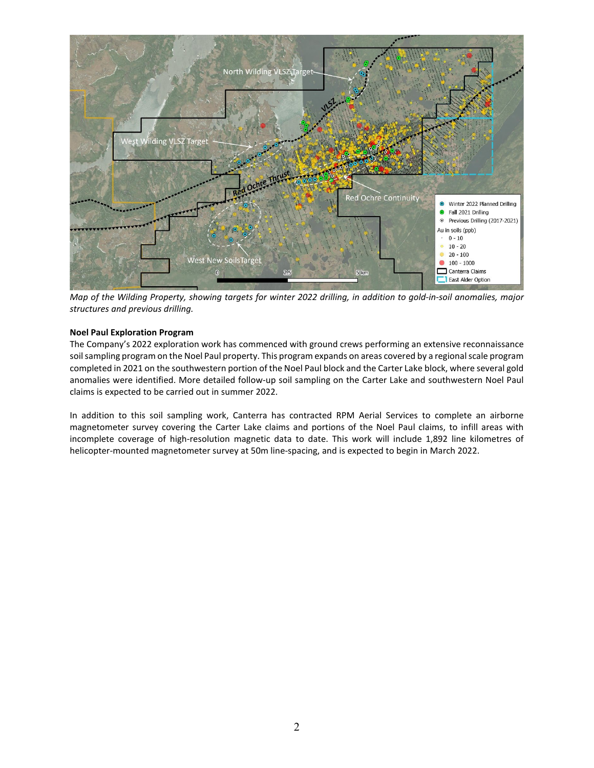

*Map of the Wilding Property, showing targets for winter 2022 drilling, in addition to gold-in-soil anomalies, major structures and previous drilling.*

## **Noel Paul Exploration Program**

The Company's 2022 exploration work has commenced with ground crews performing an extensive reconnaissance soil sampling program on the Noel Paul property. This program expands on areas covered by a regional scale program completed in 2021 on the southwestern portion of the Noel Paul block and the Carter Lake block, where several gold anomalies were identified. More detailed follow-up soil sampling on the Carter Lake and southwestern Noel Paul claims is expected to be carried out in summer 2022.

In addition to this soil sampling work, Canterra has contracted RPM Aerial Services to complete an airborne magnetometer survey covering the Carter Lake claims and portions of the Noel Paul claims, to infill areas with incomplete coverage of high-resolution magnetic data to date. This work will include 1,892 line kilometres of helicopter-mounted magnetometer survey at 50m line-spacing, and is expected to begin in March 2022.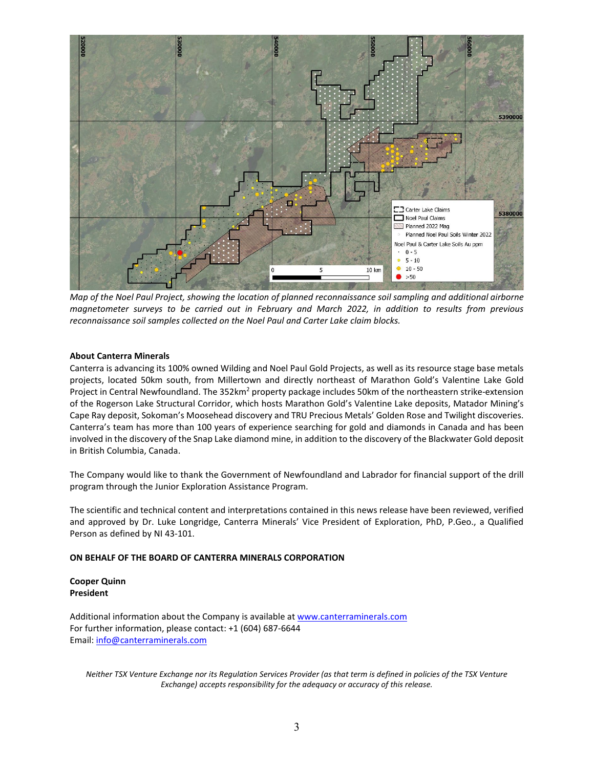

*Map of the Noel Paul Project, showing the location of planned reconnaissance soil sampling and additional airborne magnetometer surveys to be carried out in February and March 2022, in addition to results from previous reconnaissance soil samples collected on the Noel Paul and Carter Lake claim blocks.* 

#### **About Canterra Minerals**

Canterra is advancing its 100% owned Wilding and Noel Paul Gold Projects, as well as its resource stage base metals projects, located 50km south, from Millertown and directly northeast of Marathon Gold's Valentine Lake Gold Project in Central Newfoundland. The 352km<sup>2</sup> property package includes 50km of the northeastern strike-extension of the Rogerson Lake Structural Corridor, which hosts Marathon Gold's Valentine Lake deposits, Matador Mining's Cape Ray deposit, Sokoman's Moosehead discovery and TRU Precious Metals' Golden Rose and Twilight discoveries. Canterra's team has more than 100 years of experience searching for gold and diamonds in Canada and has been involved in the discovery of the Snap Lake diamond mine, in addition to the discovery of the Blackwater Gold deposit in British Columbia, Canada.

The Company would like to thank the Government of Newfoundland and Labrador for financial support of the drill program through the Junior Exploration Assistance Program.

The scientific and technical content and interpretations contained in this news release have been reviewed, verified and approved by Dr. Luke Longridge, Canterra Minerals' Vice President of Exploration, PhD, P.Geo., a Qualified Person as defined by NI 43-101.

### **ON BEHALF OF THE BOARD OF CANTERRA MINERALS CORPORATION**

## **Cooper Quinn President**

Additional information about the Company is available a[t www.canterraminerals.com](http://www.canterraminerals.com/s/Home.asp) For further information, please contact: +1 (604) 687-6644 Email: [info@canterraminerals.com](mailto:info@canterraminerals.com)

*Neither TSX Venture Exchange nor its Regulation Services Provider (as that term is defined in policies of the TSX Venture Exchange) accepts responsibility for the adequacy or accuracy of this release.*